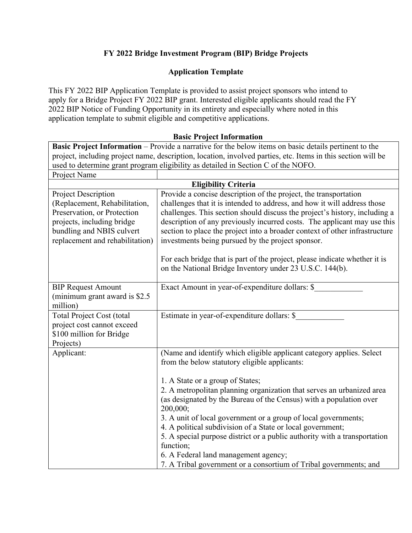# **FY 2022 Bridge Investment Program (BIP) Bridge Projects**

## **Application Template**

This FY 2022 BIP Application Template is provided to assist project sponsors who intend to apply for a Bridge Project FY 2022 BIP grant. Interested eligible applicants should read the FY 2022 BIP Notice of Funding Opportunity in its entirety and especially where noted in this application template to submit eligible and competitive applications.

### **Basic Project Information**

**Basic Project Information** – Provide a narrative for the below items on basic details pertinent to the project, including project name, description, location, involved parties, etc. Items in this section will be used to determine grant program eligibility as detailed in Section C of the NOFO. Project Name

| 1100001101110                    |                                                                             |
|----------------------------------|-----------------------------------------------------------------------------|
| <b>Eligibility Criteria</b>      |                                                                             |
| Project Description              | Provide a concise description of the project, the transportation            |
| (Replacement, Rehabilitation,    | challenges that it is intended to address, and how it will address those    |
| Preservation, or Protection      | challenges. This section should discuss the project's history, including a  |
| projects, including bridge       | description of any previously incurred costs. The applicant may use this    |
| bundling and NBIS culvert        | section to place the project into a broader context of other infrastructure |
| replacement and rehabilitation)  | investments being pursued by the project sponsor.                           |
|                                  |                                                                             |
|                                  | For each bridge that is part of the project, please indicate whether it is  |
|                                  | on the National Bridge Inventory under 23 U.S.C. 144(b).                    |
|                                  |                                                                             |
| <b>BIP Request Amount</b>        | Exact Amount in year-of-expenditure dollars: \$                             |
| (minimum grant award is \$2.5)   |                                                                             |
| million)                         |                                                                             |
| <b>Total Project Cost (total</b> | Estimate in year-of-expenditure dollars: \$                                 |
| project cost cannot exceed       |                                                                             |
| \$100 million for Bridge         |                                                                             |
| Projects)                        |                                                                             |
| Applicant:                       | (Name and identify which eligible applicant category applies. Select        |
|                                  | from the below statutory eligible applicants:                               |
|                                  |                                                                             |
|                                  | 1. A State or a group of States;                                            |
|                                  | 2. A metropolitan planning organization that serves an urbanized area       |
|                                  | (as designated by the Bureau of the Census) with a population over          |
|                                  | 200,000;                                                                    |
|                                  | 3. A unit of local government or a group of local governments;              |
|                                  | 4. A political subdivision of a State or local government;                  |
|                                  | 5. A special purpose district or a public authority with a transportation   |
|                                  | function;                                                                   |
|                                  | 6. A Federal land management agency;                                        |
|                                  | 7. A Tribal government or a consortium of Tribal governments; and           |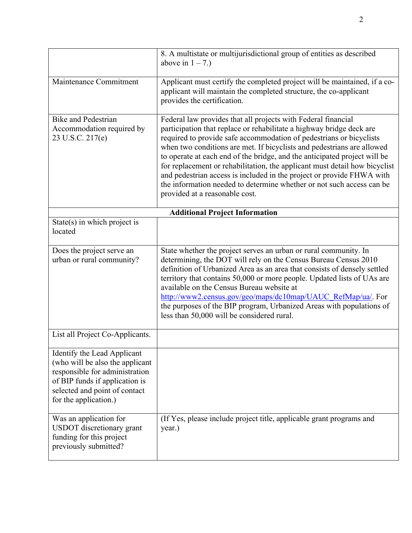|                                                                                                                                                                                              | 8. A multistate or multijurisdictional group of entities as described<br>above in $1 - 7$ .)                                                                                                                                                                                                                                                                                                                                                                                                                                                                                                                                          |
|----------------------------------------------------------------------------------------------------------------------------------------------------------------------------------------------|---------------------------------------------------------------------------------------------------------------------------------------------------------------------------------------------------------------------------------------------------------------------------------------------------------------------------------------------------------------------------------------------------------------------------------------------------------------------------------------------------------------------------------------------------------------------------------------------------------------------------------------|
| Maintenance Commitment                                                                                                                                                                       | Applicant must certify the completed project will be maintained, if a co-<br>applicant will maintain the completed structure, the co-applicant<br>provides the certification.                                                                                                                                                                                                                                                                                                                                                                                                                                                         |
| <b>Bike and Pedestrian</b><br>Accommodation required by<br>23 U.S.C. 217(e)                                                                                                                  | Federal law provides that all projects with Federal financial<br>participation that replace or rehabilitate a highway bridge deck are<br>required to provide safe accommodation of pedestrians or bicyclists<br>when two conditions are met. If bicyclists and pedestrians are allowed<br>to operate at each end of the bridge, and the anticipated project will be<br>for replacement or rehabilitation, the applicant must detail how bicyclist<br>and pedestrian access is included in the project or provide FHWA with<br>the information needed to determine whether or not such access can be<br>provided at a reasonable cost. |
| <b>Additional Project Information</b>                                                                                                                                                        |                                                                                                                                                                                                                                                                                                                                                                                                                                                                                                                                                                                                                                       |
| $State(s)$ in which project is<br>located                                                                                                                                                    |                                                                                                                                                                                                                                                                                                                                                                                                                                                                                                                                                                                                                                       |
| Does the project serve an<br>urban or rural community?                                                                                                                                       | State whether the project serves an urban or rural community. In<br>determining, the DOT will rely on the Census Bureau Census 2010<br>definition of Urbanized Area as an area that consists of densely settled<br>territory that contains 50,000 or more people. Updated lists of UAs are<br>available on the Census Bureau website at<br>http://www2.census.gov/geo/maps/dc10map/UAUC_RefMap/ua/. For<br>the purposes of the BIP program, Urbanized Areas with populations of<br>less than 50,000 will be considered rural.                                                                                                         |
| List all Project Co-Applicants.                                                                                                                                                              |                                                                                                                                                                                                                                                                                                                                                                                                                                                                                                                                                                                                                                       |
| Identify the Lead Applicant<br>(who will be also the applicant<br>responsible for administration<br>of BIP funds if application is<br>selected and point of contact<br>for the application.) |                                                                                                                                                                                                                                                                                                                                                                                                                                                                                                                                                                                                                                       |
| Was an application for<br><b>USDOT</b> discretionary grant<br>funding for this project<br>previously submitted?                                                                              | (If Yes, please include project title, applicable grant programs and<br>year.)                                                                                                                                                                                                                                                                                                                                                                                                                                                                                                                                                        |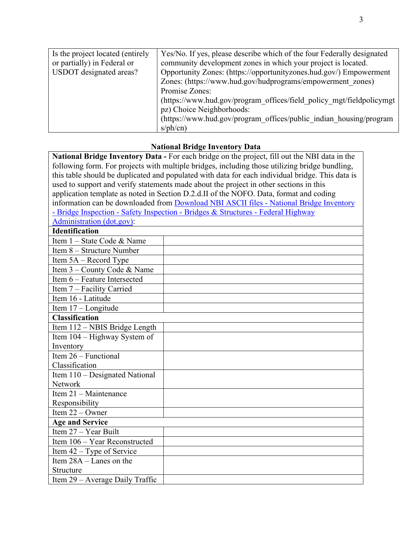| Is the project located (entirely | Yes/No. If yes, please describe which of the four Federally designated |
|----------------------------------|------------------------------------------------------------------------|
| or partially) in Federal or      | community development zones in which your project is located.          |
| USDOT designated areas?          | Opportunity Zones: (https://opportunityzones.hud.gov/) Empowerment     |
|                                  | Zones: (https://www.hud.gov/hudprograms/empowerment zones)             |
|                                  | Promise Zones:                                                         |
|                                  | (https://www.hud.gov/program offices/field policy mgt/fieldpolicymgt   |
|                                  | pz) Choice Neighborhoods:                                              |
|                                  | (https://www.hud.gov/program offices/public indian housing/program     |
|                                  | $sph$ (cn)                                                             |

# **National Bridge Inventory Data**

| National Bridge Inventory Data - For each bridge on the project, fill out the NBI data in the    |  |
|--------------------------------------------------------------------------------------------------|--|
| following form. For projects with multiple bridges, including those utilizing bridge bundling,   |  |
| this table should be duplicated and populated with data for each individual bridge. This data is |  |
| used to support and verify statements made about the project in other sections in this           |  |
| application template as noted in Section D.2.d.II of the NOFO. Data, format and coding           |  |
| information can be downloaded from <b>Download NBI ASCII</b> files - National Bridge Inventory   |  |
| - Bridge Inspection - Safety Inspection - Bridges & Structures - Federal Highway                 |  |
| Administration (dot.gov):                                                                        |  |
| <b>Identification</b>                                                                            |  |
| Item 1 – State Code & Name                                                                       |  |
| Item 8 – Structure Number                                                                        |  |
| Item $5A - Record$ Type                                                                          |  |
| Item 3 – County Code & Name                                                                      |  |
| Item 6 - Feature Intersected                                                                     |  |
| Item 7 - Facility Carried                                                                        |  |
| Item 16 - Latitude                                                                               |  |
| Item 17 - Longitude                                                                              |  |
| <b>Classification</b>                                                                            |  |
| Item 112 - NBIS Bridge Length                                                                    |  |
| Item 104 – Highway System of                                                                     |  |
| Inventory                                                                                        |  |
| Item $26 -$ Functional                                                                           |  |
| Classification                                                                                   |  |
| Item 110 - Designated National                                                                   |  |
| Network                                                                                          |  |
| Item $21 - $ Maintenance                                                                         |  |
| Responsibility                                                                                   |  |
| Item $22 -$ Owner                                                                                |  |
| <b>Age and Service</b>                                                                           |  |
| Item $27 - Year$ Built                                                                           |  |
| Item 106 - Year Reconstructed                                                                    |  |
| Item $42 - Type$ of Service                                                                      |  |
| Item $28A -$ Lanes on the                                                                        |  |
| Structure                                                                                        |  |
| Item 29 – Average Daily Traffic                                                                  |  |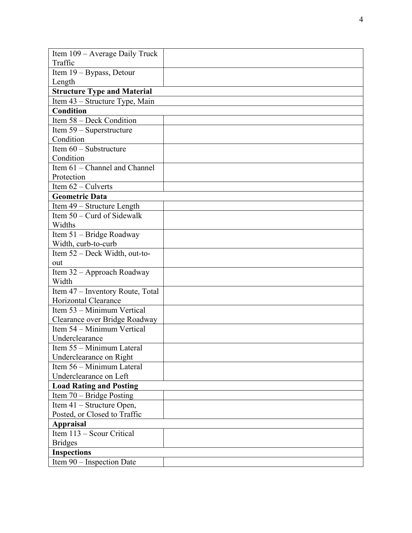| Item 109 – Average Daily Truck                              |  |
|-------------------------------------------------------------|--|
| Traffic                                                     |  |
| Item 19 - Bypass, Detour                                    |  |
| Length                                                      |  |
| <b>Structure Type and Material</b>                          |  |
| Item 43 - Structure Type, Main                              |  |
| <b>Condition</b>                                            |  |
| Item 58 - Deck Condition                                    |  |
| Item 59 - Superstructure                                    |  |
| Condition                                                   |  |
| Item 60 - Substructure                                      |  |
| Condition                                                   |  |
| Item 61 - Channel and Channel                               |  |
| Protection                                                  |  |
| Item $62$ – Culverts                                        |  |
| <b>Geometric Data</b>                                       |  |
| Item 49 – Structure Length                                  |  |
| Item 50 – Curd of Sidewalk                                  |  |
| Widths                                                      |  |
| Item 51 – Bridge Roadway                                    |  |
| Width, curb-to-curb                                         |  |
| Item 52 – Deck Width, out-to-                               |  |
| out                                                         |  |
| Item 32 - Approach Roadway                                  |  |
| Width                                                       |  |
| Item 47 – Inventory Route, Total                            |  |
| Horizontal Clearance                                        |  |
| Item 53 – Minimum Vertical                                  |  |
| Clearance over Bridge Roadway<br>Item 54 - Minimum Vertical |  |
| Underclearance                                              |  |
| Item 55 - Minimum Lateral                                   |  |
| Underclearance on Right                                     |  |
| Item 56 – Minimum Lateral                                   |  |
| Underclearance on Left                                      |  |
| <b>Load Rating and Posting</b>                              |  |
| Item 70 – Bridge Posting                                    |  |
| Item 41 – Structure Open,                                   |  |
| Posted, or Closed to Traffic                                |  |
| <b>Appraisal</b>                                            |  |
| Item 113 – Scour Critical                                   |  |
| <b>Bridges</b>                                              |  |
| <b>Inspections</b>                                          |  |
| Item 90 - Inspection Date                                   |  |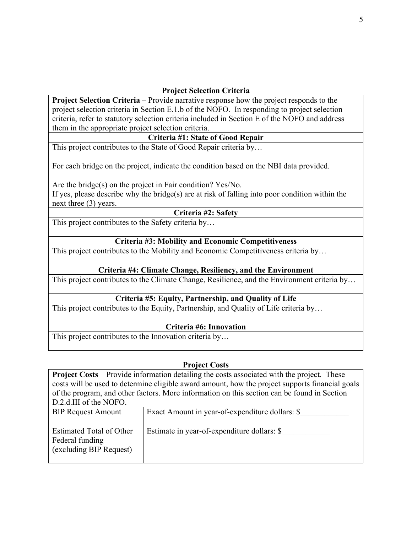## **Project Selection Criteria**

**Project Selection Criteria** – Provide narrative response how the project responds to the project selection criteria in Section E.1.b of the NOFO. In responding to project selection criteria, refer to statutory selection criteria included in Section E of the NOFO and address them in the appropriate project selection criteria.

#### **Criteria #1: State of Good Repair**

This project contributes to the State of Good Repair criteria by…

For each bridge on the project, indicate the condition based on the NBI data provided.

Are the bridge(s) on the project in Fair condition? Yes/No.

If yes, please describe why the bridge(s) are at risk of falling into poor condition within the next three (3) years.

### **Criteria #2: Safety**

This project contributes to the Safety criteria by…

### **Criteria #3: Mobility and Economic Competitiveness**

This project contributes to the Mobility and Economic Competitiveness criteria by…

### **Criteria #4: Climate Change, Resiliency, and the Environment**

This project contributes to the Climate Change, Resilience, and the Environment criteria by…

### **Criteria #5: Equity, Partnership, and Quality of Life**

This project contributes to the Equity, Partnership, and Quality of Life criteria by…

#### **Criteria #6: Innovation**

This project contributes to the Innovation criteria by…

#### **Project Costs**

**Project Costs** – Provide information detailing the costs associated with the project. These costs will be used to determine eligible award amount, how the project supports financial goals of the program, and other factors. More information on this section can be found in Section D.2.d.III of the NOFO.

| <b>BIP Request Amount</b>                                                     | Exact Amount in year-of-expenditure dollars: \$ |
|-------------------------------------------------------------------------------|-------------------------------------------------|
| <b>Estimated Total of Other</b><br>Federal funding<br>(excluding BIP Request) | Estimate in year-of-expenditure dollars: \$     |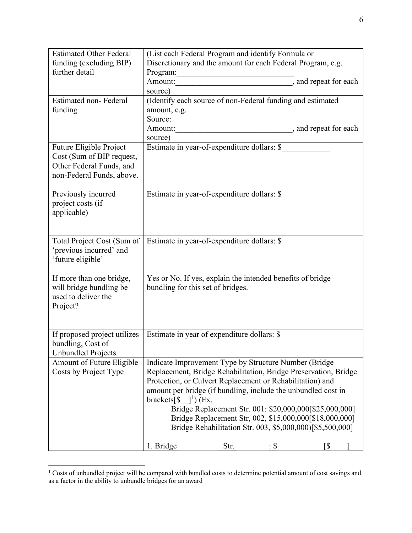| <b>Estimated Other Federal</b>   | (List each Federal Program and identify Formula or                |
|----------------------------------|-------------------------------------------------------------------|
| funding (excluding BIP)          | Discretionary and the amount for each Federal Program, e.g.       |
| further detail                   | Program:                                                          |
|                                  |                                                                   |
|                                  | source)                                                           |
| <b>Estimated non-Federal</b>     | (Identify each source of non-Federal funding and estimated        |
| funding                          | amount, e.g.                                                      |
|                                  | Source:                                                           |
|                                  |                                                                   |
|                                  | source)<br>source)<br>Estimate in year-of-expenditure dollars: \$ |
| Future Eligible Project          |                                                                   |
| Cost (Sum of BIP request,        |                                                                   |
| Other Federal Funds, and         |                                                                   |
| non-Federal Funds, above.        |                                                                   |
|                                  |                                                                   |
| Previously incurred              | Estimate in year-of-expenditure dollars: \$                       |
| project costs (if                |                                                                   |
| applicable)                      |                                                                   |
|                                  |                                                                   |
|                                  |                                                                   |
| Total Project Cost (Sum of       | Estimate in year-of-expenditure dollars: \$                       |
| 'previous incurred' and          |                                                                   |
| 'future eligible'                |                                                                   |
| If more than one bridge,         | Yes or No. If yes, explain the intended benefits of bridge        |
| will bridge bundling be          | bundling for this set of bridges.                                 |
| used to deliver the              |                                                                   |
| Project?                         |                                                                   |
|                                  |                                                                   |
|                                  |                                                                   |
| If proposed project utilizes     | Estimate in year of expenditure dollars: \$                       |
| bundling, Cost of                |                                                                   |
| <b>Unbundled Projects</b>        |                                                                   |
| <b>Amount of Future Eligible</b> | Indicate Improvement Type by Structure Number (Bridge             |
| Costs by Project Type            | Replacement, Bridge Rehabilitation, Bridge Preservation, Bridge   |
|                                  | Protection, or Culvert Replacement or Rehabilitation) and         |
|                                  | amount per bridge (if bundling, include the unbundled cost in     |
|                                  | brackets $\lceil 3 \rceil$ and $\lceil 1 \rceil$ (Ex.             |
|                                  | Bridge Replacement Str. 001: \$20,000,000[\$25,000,000]           |
|                                  | Bridge Replacement Str, 002, \$15,000,000[\$18,000,000]           |
|                                  | Bridge Rehabilitation Str. 003, \$5,000,000)[\$5,500,000]         |
|                                  |                                                                   |
|                                  | 1. Bridge<br>Str.<br>[\$<br>$\mathbf{.}\$                         |

<span id="page-5-0"></span> $1$  Costs of unbundled project will be compared with bundled costs to determine potential amount of cost savings and as a factor in the ability to unbundle bridges for an award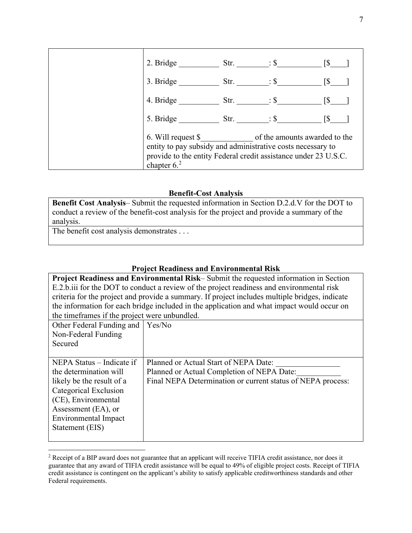

#### **Benefit-Cost Analysis**

**Benefit Cost Analysis**– Submit the requested information in Section D.2.d.V for the DOT to conduct a review of the benefit-cost analysis for the project and provide a summary of the analysis.

The benefit cost analysis demonstrates . . .

#### **Project Readiness and Environmental Risk**

**Project Readiness and Environmental Risk**– Submit the requested information in Section E.2.b.iii for the DOT to conduct a review of the project readiness and environmental risk criteria for the project and provide a summary. If project includes multiple bridges, indicate the information for each bridge included in the application and what impact would occur on the timeframes if the project were unbundled.

| Other Federal Funding and<br>Non-Federal Funding<br>Secured                                                                                                                                               | Yes/No                                                                                                                                             |
|-----------------------------------------------------------------------------------------------------------------------------------------------------------------------------------------------------------|----------------------------------------------------------------------------------------------------------------------------------------------------|
| NEPA Status – Indicate if<br>the determination will<br>likely be the result of a<br>Categorical Exclusion<br>(CE), Environmental<br>Assessment (EA), or<br><b>Environmental Impact</b><br>Statement (EIS) | Planned or Actual Start of NEPA Date:<br>Planned or Actual Completion of NEPA Date:<br>Final NEPA Determination or current status of NEPA process: |

<span id="page-6-0"></span><sup>&</sup>lt;sup>2</sup> Receipt of a BIP award does not guarantee that an applicant will receive TIFIA credit assistance, nor does it guarantee that any award of TIFIA credit assistance will be equal to 49% of eligible project costs. Receipt of TIFIA credit assistance is contingent on the applicant's ability to satisfy applicable creditworthiness standards and other Federal requirements.